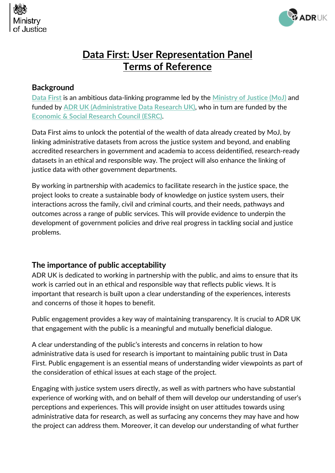



# **Data First: User Representation Panel Terms of Reference**

#### **Background**

**[Data First](https://www.adruk.org/our-work/browse-all-projects/data-first-harnessing-the-potential-of-linked-administrative-data-for-the-justice-system-169/)** is an ambitious data-linking programme led by the **[Ministry of Justice \(MoJ\)](https://www.gov.uk/guidance/ministry-of-justice-data-first)** and funded by **ADR UK [\(Administrative Data Research UK\)](https://www.adruk.org/)**, who in turn are funded by the **[Economic & Social Research Council \(ESRC\)](https://esrc.ukri.org/)**.

Data First aims to unlock the potential of the wealth of data already created by MoJ, by linking administrative datasets from across the justice system and beyond, and enabling accredited researchers in government and academia to access deidentified, research-ready datasets in an ethical and responsible way. The project will also enhance the linking of justice data with other government departments.

By working in partnership with academics to facilitate research in the justice space, the project looks to create a sustainable body of knowledge on justice system users, their interactions across the family, civil and criminal courts, and their needs, pathways and outcomes across a range of public services. This will provide evidence to underpin the development of government policies and drive real progress in tackling social and justice problems.

# **The importance of public acceptability**

ADR UK is dedicated to working in partnership with the public, and aims to ensure that its work is carried out in an ethical and responsible way that reflects public views. It is important that research is built upon a clear understanding of the experiences, interests and concerns of those it hopes to benefit.

Public engagement provides a key way of maintaining transparency. It is crucial to ADR UK that engagement with the public is a meaningful and mutually beneficial dialogue.

A clear understanding of the public's interests and concerns in relation to how administrative data is used for research is important to maintaining public trust in Data First. Public engagement is an essential means of understanding wider viewpoints as part of the consideration of ethical issues at each stage of the project.

Engaging with justice system users directly, as well as with partners who have substantial experience of working with, and on behalf of them will develop our understanding of user's perceptions and experiences. This will provide insight on user attitudes towards using administrative data for research, as well as surfacing any concerns they may have and how the project can address them. Moreover, it can develop our understanding of what further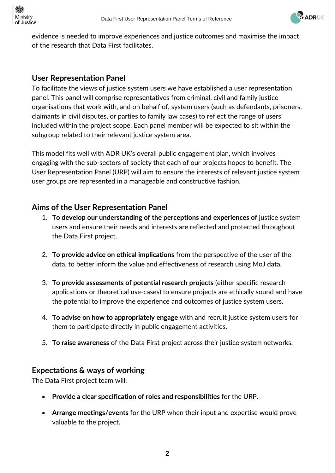

evidence is needed to improve experiences and justice outcomes and maximise the impact of the research that Data First facilitates.

# **User Representation Panel**

To facilitate the views of justice system users we have established a user representation panel. This panel will comprise representatives from criminal, civil and family justice organisations that work with, and on behalf of, system users (such as defendants, prisoners, claimants in civil disputes, or parties to family law cases) to reflect the range of users included within the project scope. Each panel member will be expected to sit within the subgroup related to their relevant justice system area.

This model fits well with ADR UK's overall public engagement plan, which involves engaging with the sub-sectors of society that each of our projects hopes to benefit. The User Representation Panel (URP) will aim to ensure the interests of relevant justice system user groups are represented in a manageable and constructive fashion.

#### **Aims of the User Representation Panel**

- 1. **To develop our understanding of the perceptions and experiences of** justice system users and ensure their needs and interests are reflected and protected throughout the Data First project.
- 2. **To provide advice on ethical implications** from the perspective of the user of the data, to better inform the value and effectiveness of research using MoJ data.
- 3. **To provide assessments of potential research projects** (either specific research applications or theoretical use-cases) to ensure projects are ethically sound and have the potential to improve the experience and outcomes of justice system users.
- 4. **To advise on how to appropriately engage** with and recruit justice system users for them to participate directly in public engagement activities.
- 5. **To raise awareness** of the Data First project across their justice system networks.

#### **Expectations & ways of working**

The Data First project team will:

- **Provide a clear specification of roles and responsibilities** for the URP.
- **Arrange meetings/events** for the URP when their input and expertise would prove valuable to the project.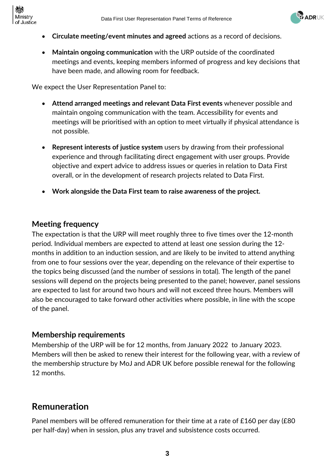



- **Circulate meeting/event minutes and agreed** actions as a record of decisions.
- **Maintain ongoing communication** with the URP outside of the coordinated meetings and events, keeping members informed of progress and key decisions that have been made, and allowing room for feedback.

We expect the User Representation Panel to:

- **Attend arranged meetings and relevant Data First events** whenever possible and maintain ongoing communication with the team. Accessibility for events and meetings will be prioritised with an option to meet virtually if physical attendance is not possible.
- **Represent interests of justice system** users by drawing from their professional experience and through facilitating direct engagement with user groups. Provide objective and expert advice to address issues or queries in relation to Data First overall, or in the development of research projects related to Data First.
- **Work alongside the Data First team to raise awareness of the project.**

# **Meeting frequency**

The expectation is that the URP will meet roughly three to five times over the 12-month period. Individual members are expected to attend at least one session during the 12 months in addition to an induction session, and are likely to be invited to attend anything from one to four sessions over the year, depending on the relevance of their expertise to the topics being discussed (and the number of sessions in total). The length of the panel sessions will depend on the projects being presented to the panel; however, panel sessions are expected to last for around two hours and will not exceed three hours. Members will also be encouraged to take forward other activities where possible, in line with the scope of the panel.

# **Membership requirements**

Membership of the URP will be for 12 months, from January 2022 to January 2023. Members will then be asked to renew their interest for the following year, with a review of the membership structure by MoJ and ADR UK before possible renewal for the following 12 months.

# **Remuneration**

Panel members will be offered remuneration for their time at a rate of £160 per day (£80 per half-day) when in session, plus any travel and subsistence costs occurred.